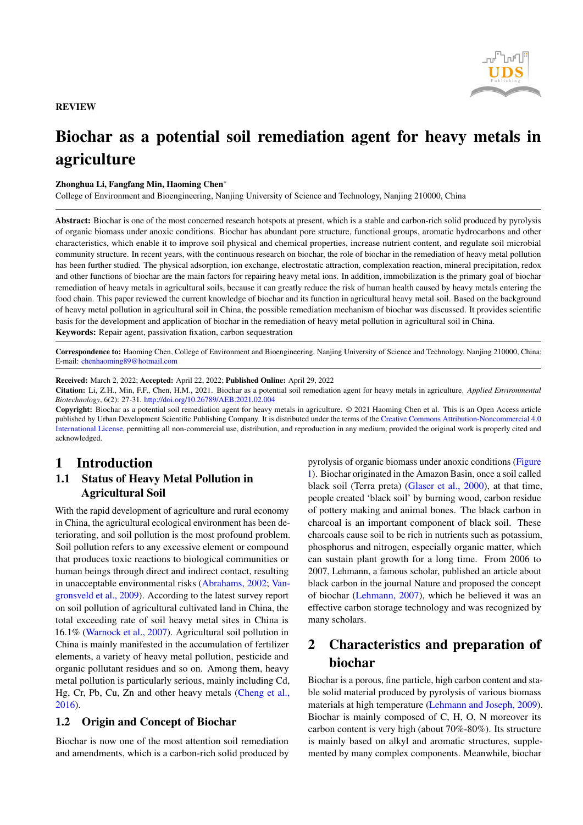

# Biochar as a potential soil remediation agent for heavy metals in agriculture

#### Zhonghua Li, Fangfang Min, Haoming Chen<sup>∗</sup>

College of Environment and Bioengineering, Nanjing University of Science and Technology, Nanjing 210000, China

Abstract: Biochar is one of the most concerned research hotspots at present, which is a stable and carbon-rich solid produced by pyrolysis of organic biomass under anoxic conditions. Biochar has abundant pore structure, functional groups, aromatic hydrocarbons and other characteristics, which enable it to improve soil physical and chemical properties, increase nutrient content, and regulate soil microbial community structure. In recent years, with the continuous research on biochar, the role of biochar in the remediation of heavy metal pollution has been further studied. The physical adsorption, ion exchange, electrostatic attraction, complexation reaction, mineral precipitation, redox and other functions of biochar are the main factors for repairing heavy metal ions. In addition, immobilization is the primary goal of biochar remediation of heavy metals in agricultural soils, because it can greatly reduce the risk of human health caused by heavy metals entering the food chain. This paper reviewed the current knowledge of biochar and its function in agricultural heavy metal soil. Based on the background of heavy metal pollution in agricultural soil in China, the possible remediation mechanism of biochar was discussed. It provides scientific basis for the development and application of biochar in the remediation of heavy metal pollution in agricultural soil in China. Keywords: Repair agent, passivation fixation, carbon sequestration

Correspondence to: Haoming Chen, College of Environment and Bioengineering, Nanjing University of Science and Technology, Nanjing 210000, China; E-mail: <chenhaoming89@hotmail.com>

Received: March 2, 2022; Accepted: April 22, 2022; Published Online: April 29, 2022

Citation: Li, Z.H., Min, F.F,, Chen, H.M., 2021. Biochar as a potential soil remediation agent for heavy metals in agriculture. *Applied Environmental Biotechnology*, 6(2): 27-31. <http://doi.org/10.26789/AEB.2021.02.004>

Copyright: Biochar as a potential soil remediation agent for heavy metals in agriculture. © 2021 Haoming Chen et al. This is an Open Access article published by Urban Development Scientific Publishing Company. It is distributed under the terms of the [Creative Commons Attribution-Noncommercial 4.0](https://creativecommons.org/licenses/by/4.0/) [International License,](https://creativecommons.org/licenses/by/4.0/) permitting all non-commercial use, distribution, and reproduction in any medium, provided the original work is properly cited and acknowledged.

### 1 Introduction

### 1.1 Status of Heavy Metal Pollution in Agricultural Soil

With the rapid development of agriculture and rural economy in China, the agricultural ecological environment has been deteriorating, and soil pollution is the most profound problem. Soil pollution refers to any excessive element or compound that produces toxic reactions to biological communities or human beings through direct and indirect contact, resulting in unacceptable environmental risks [\(Abrahams, 2002;](#page-3-0) [Van](#page-4-0)[gronsveld et al., 2009\)](#page-4-0). According to the latest survey report on soil pollution of agricultural cultivated land in China, the total exceeding rate of soil heavy metal sites in China is 16.1% [\(Warnock et al., 2007\)](#page-4-1). Agricultural soil pollution in China is mainly manifested in the accumulation of fertilizer elements, a variety of heavy metal pollution, pesticide and organic pollutant residues and so on. Among them, heavy metal pollution is particularly serious, mainly including Cd, Hg, Cr, Pb, Cu, Zn and other heavy metals [\(Cheng et al.,](#page-3-1) [2016\)](#page-3-1).

#### 1.2 Origin and Concept of Biochar

Biochar is now one of the most attention soil remediation and amendments, which is a carbon-rich solid produced by

pyrolysis of organic biomass under anoxic conditions [\(Figure](#page-1-0) [1\)](#page-1-0). Biochar originated in the Amazon Basin, once a soil called black soil (Terra preta) [\(Glaser et al., 2000\)](#page-3-2), at that time, people created 'black soil' by burning wood, carbon residue of pottery making and animal bones. The black carbon in charcoal is an important component of black soil. These charcoals cause soil to be rich in nutrients such as potassium, phosphorus and nitrogen, especially organic matter, which can sustain plant growth for a long time. From 2006 to 2007, Lehmann, a famous scholar, published an article about black carbon in the journal Nature and proposed the concept of biochar [\(Lehmann, 2007\)](#page-3-3), which he believed it was an effective carbon storage technology and was recognized by many scholars.

# 2 Characteristics and preparation of biochar

Biochar is a porous, fine particle, high carbon content and stable solid material produced by pyrolysis of various biomass materials at high temperature [\(Lehmann and Joseph, 2009\)](#page-3-4). Biochar is mainly composed of C, H, O, N moreover its carbon content is very high (about 70%-80%). Its structure is mainly based on alkyl and aromatic structures, supplemented by many complex components. Meanwhile, biochar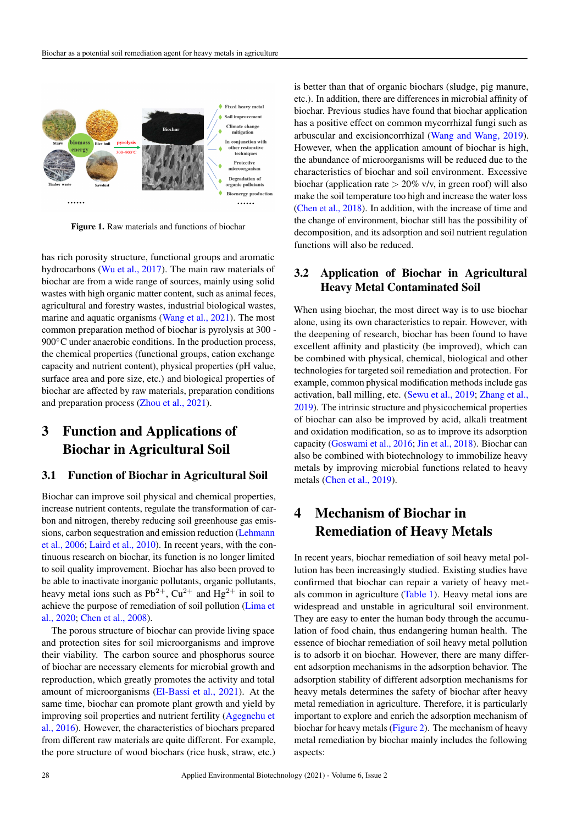<span id="page-1-0"></span>

Figure 1. Raw materials and functions of biochar

has rich porosity structure, functional groups and aromatic hydrocarbons [\(Wu et al., 2017\)](#page-4-2). The main raw materials of biochar are from a wide range of sources, mainly using solid wastes with high organic matter content, such as animal feces, agricultural and forestry wastes, industrial biological wastes, marine and aquatic organisms [\(Wang et al., 2021\)](#page-4-3). The most common preparation method of biochar is pyrolysis at 300 - 900<sup>°</sup>C under anaerobic conditions. In the production process, the chemical properties (functional groups, cation exchange capacity and nutrient content), physical properties (pH value, surface area and pore size, etc.) and biological properties of biochar are affected by raw materials, preparation conditions and preparation process [\(Zhou et al., 2021\)](#page-4-4).

# 3 Function and Applications of Biochar in Agricultural Soil

#### 3.1 Function of Biochar in Agricultural Soil

Biochar can improve soil physical and chemical properties, increase nutrient contents, regulate the transformation of carbon and nitrogen, thereby reducing soil greenhouse gas emissions, carbon sequestration and emission reduction [\(Lehmann](#page-3-5) [et al., 2006;](#page-3-5) [Laird et al., 2010\)](#page-3-6). In recent years, with the continuous research on biochar, its function is no longer limited to soil quality improvement. Biochar has also been proved to be able to inactivate inorganic pollutants, organic pollutants, heavy metal ions such as  $Pb^{2+}$ ,  $Cu^{2+}$  and  $Hg^{2+}$  in soil to achieve the purpose of remediation of soil pollution [\(Lima et](#page-3-7) [al., 2020;](#page-3-7) [Chen et al., 2008\)](#page-3-8).

The porous structure of biochar can provide living space and protection sites for soil microorganisms and improve their viability. The carbon source and phosphorus source of biochar are necessary elements for microbial growth and reproduction, which greatly promotes the activity and total amount of microorganisms [\(El-Bassi et al., 2021\)](#page-3-9). At the same time, biochar can promote plant growth and yield by improving soil properties and nutrient fertility [\(Agegnehu et](#page-3-10) [al., 2016\)](#page-3-10). However, the characteristics of biochars prepared from different raw materials are quite different. For example, the pore structure of wood biochars (rice husk, straw, etc.) is better than that of organic biochars (sludge, pig manure, etc.). In addition, there are differences in microbial affinity of biochar. Previous studies have found that biochar application has a positive effect on common mycorrhizal fungi such as arbuscular and excisioncorrhizal [\(Wang and Wang, 2019\)](#page-4-5). However, when the application amount of biochar is high, the abundance of microorganisms will be reduced due to the characteristics of biochar and soil environment. Excessive biochar (application rate  $> 20\%$  v/v, in green roof) will also make the soil temperature too high and increase the water loss [\(Chen et al., 2018\)](#page-3-11). In addition, with the increase of time and the change of environment, biochar still has the possibility of decomposition, and its adsorption and soil nutrient regulation functions will also be reduced.

### 3.2 Application of Biochar in Agricultural Heavy Metal Contaminated Soil

When using biochar, the most direct way is to use biochar alone, using its own characteristics to repair. However, with the deepening of research, biochar has been found to have excellent affinity and plasticity (be improved), which can be combined with physical, chemical, biological and other technologies for targeted soil remediation and protection. For example, common physical modification methods include gas activation, ball milling, etc. [\(Sewu et al., 2019;](#page-4-6) [Zhang et al.,](#page-4-7) [2019\)](#page-4-7). The intrinsic structure and physicochemical properties of biochar can also be improved by acid, alkali treatment and oxidation modification, so as to improve its adsorption capacity [\(Goswami et al., 2016;](#page-3-12) [Jin et al., 2018\)](#page-3-13). Biochar can also be combined with biotechnology to immobilize heavy metals by improving microbial functions related to heavy metals [\(Chen et al., 2019\)](#page-3-14).

# 4 Mechanism of Biochar in Remediation of Heavy Metals

In recent years, biochar remediation of soil heavy metal pollution has been increasingly studied. Existing studies have confirmed that biochar can repair a variety of heavy metals common in agriculture [\(Table 1\)](#page-2-0). Heavy metal ions are widespread and unstable in agricultural soil environment. They are easy to enter the human body through the accumulation of food chain, thus endangering human health. The essence of biochar remediation of soil heavy metal pollution is to adsorb it on biochar. However, there are many different adsorption mechanisms in the adsorption behavior. The adsorption stability of different adsorption mechanisms for heavy metals determines the safety of biochar after heavy metal remediation in agriculture. Therefore, it is particularly important to explore and enrich the adsorption mechanism of biochar for heavy metals [\(Figure 2\)](#page-2-1). The mechanism of heavy metal remediation by biochar mainly includes the following aspects: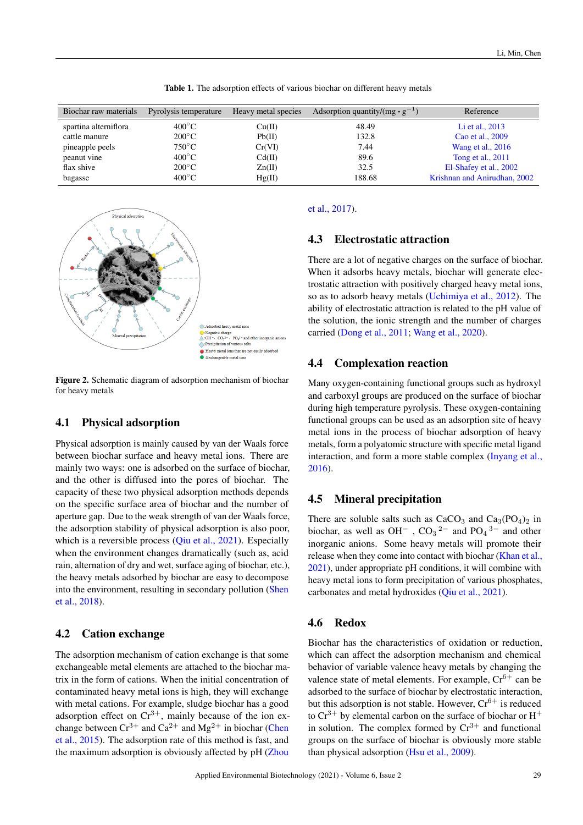Table 1. The adsorption effects of various biochar on different heavy metals

<span id="page-2-0"></span>

| Biochar raw materials | Pyrolysis temperature | Heavy metal species | Adsorption quantity/(mg $\cdot$ g <sup>-1</sup> ) | Reference                    |
|-----------------------|-----------------------|---------------------|---------------------------------------------------|------------------------------|
| spartina alterniflora | $400^{\circ}$ C       | Cu(II)              | 48.49                                             | Li et al., 2013              |
| cattle manure         | $200^{\circ}$ C       | Pb(II)              | 132.8                                             | Cao et al., 2009             |
| pineapple peels       | $750^{\circ}$ C       | Cr(VI)              | 7.44                                              | Wang et al., 2016            |
| peanut vine           | $400^{\circ}$ C       | Cd(II)              | 89.6                                              | Tong et al., 2011            |
| flax shive            | $200^{\circ}$ C       | Zn(II)              | 32.5                                              | El-Shafey et al., 2002       |
| bagasse               | $400^{\circ}$ C       | Hg(II)              | 188.68                                            | Krishnan and Anirudhan, 2002 |

<span id="page-2-1"></span>

Figure 2. Schematic diagram of adsorption mechanism of biochar for heavy metals

#### 4.1 Physical adsorption

Physical adsorption is mainly caused by van der Waals force between biochar surface and heavy metal ions. There are mainly two ways: one is adsorbed on the surface of biochar, and the other is diffused into the pores of biochar. The capacity of these two physical adsorption methods depends on the specific surface area of biochar and the number of aperture gap. Due to the weak strength of van der Waals force, the adsorption stability of physical adsorption is also poor, which is a reversible process [\(Qiu et al., 2021\)](#page-4-10). Especially when the environment changes dramatically (such as, acid rain, alternation of dry and wet, surface aging of biochar, etc.), the heavy metals adsorbed by biochar are easy to decompose into the environment, resulting in secondary pollution [\(Shen](#page-4-11) [et al., 2018\)](#page-4-11).

#### 4.2 Cation exchange

The adsorption mechanism of cation exchange is that some exchangeable metal elements are attached to the biochar matrix in the form of cations. When the initial concentration of contaminated heavy metal ions is high, they will exchange with metal cations. For example, sludge biochar has a good adsorption effect on  $Cr^{3+}$ , mainly because of the ion exchange between  $Cr^{3+}$  and  $Ca^{2+}$  and  $Mg^{2+}$  in biochar [\(Chen](#page-3-19) [et al., 2015\)](#page-3-19). The adsorption rate of this method is fast, and the maximum adsorption is obviously affected by pH [\(Zhou](#page-4-12)

#### [et al., 2017\)](#page-4-12).

#### 4.3 Electrostatic attraction

There are a lot of negative charges on the surface of biochar. When it adsorbs heavy metals, biochar will generate electrostatic attraction with positively charged heavy metal ions, so as to adsorb heavy metals [\(Uchimiya et al., 2012\)](#page-4-13). The ability of electrostatic attraction is related to the pH value of the solution, the ionic strength and the number of charges carried [\(Dong et al., 2011;](#page-3-20) [Wang et al., 2020\)](#page-4-14).

#### 4.4 Complexation reaction

Many oxygen-containing functional groups such as hydroxyl and carboxyl groups are produced on the surface of biochar during high temperature pyrolysis. These oxygen-containing functional groups can be used as an adsorption site of heavy metal ions in the process of biochar adsorption of heavy metals, form a polyatomic structure with specific metal ligand interaction, and form a more stable complex [\(Inyang et al.,](#page-3-21) [2016\)](#page-3-21).

### 4.5 Mineral precipitation

There are soluble salts such as  $CaCO<sub>3</sub>$  and  $Ca<sub>3</sub>(PO<sub>4</sub>)<sub>2</sub>$  in biochar, as well as OH<sup>-</sup>, CO<sub>3</sub><sup>2-</sup> and PO<sub>4</sub><sup>3-</sup> and other inorganic anions. Some heavy metals will promote their release when they come into contact with biochar [\(Khan et al.,](#page-3-22) [2021\)](#page-3-22), under appropriate pH conditions, it will combine with heavy metal ions to form precipitation of various phosphates, carbonates and metal hydroxides [\(Qiu et al., 2021\)](#page-4-10).

#### 4.6 Redox

Biochar has the characteristics of oxidation or reduction, which can affect the adsorption mechanism and chemical behavior of variable valence heavy metals by changing the valence state of metal elements. For example,  $Cr^{6+}$  can be adsorbed to the surface of biochar by electrostatic interaction, but this adsorption is not stable. However,  $Cr^{6+}$  is reduced to  $Cr^{3+}$  by elemental carbon on the surface of biochar or  $H^+$ in solution. The complex formed by  $Cr^{3+}$  and functional groups on the surface of biochar is obviously more stable than physical adsorption [\(Hsu et al., 2009\)](#page-3-23).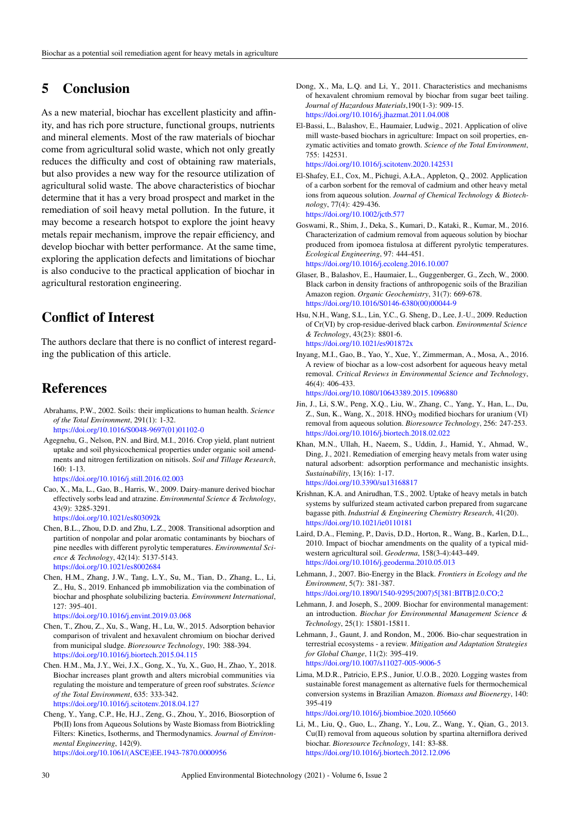## 5 Conclusion

As a new material, biochar has excellent plasticity and affinity, and has rich pore structure, functional groups, nutrients and mineral elements. Most of the raw materials of biochar come from agricultural solid waste, which not only greatly reduces the difficulty and cost of obtaining raw materials, but also provides a new way for the resource utilization of agricultural solid waste. The above characteristics of biochar determine that it has a very broad prospect and market in the remediation of soil heavy metal pollution. In the future, it may become a research hotspot to explore the joint heavy metals repair mechanism, improve the repair efficiency, and develop biochar with better performance. At the same time, exploring the application defects and limitations of biochar is also conducive to the practical application of biochar in agricultural restoration engineering.

# Conflict of Interest

The authors declare that there is no conflict of interest regarding the publication of this article.

# References

- <span id="page-3-0"></span>Abrahams, P.W., 2002. Soils: their implications to human health. *Science of the Total Environment*, 291(1): 1-32. [https://doi.org/10.1016/S0048-9697\(01\)01102-0](https://doi.org/10.1016/S0048-9697(01)01102-0)
- <span id="page-3-10"></span>Agegnehu, G., Nelson, P.N. and Bird, M.I., 2016. Crop yield, plant nutrient uptake and soil physicochemical properties under organic soil amendments and nitrogen fertilization on nitisols. *Soil and Tillage Research*,  $160 \cdot 1 - 13$

<https://doi.org/10.1016/j.still.2016.02.003>

<span id="page-3-16"></span>Cao, X., Ma, L., Gao, B., Harris, W., 2009. Dairy-manure derived biochar effectively sorbs lead and atrazine. *Environmental Science & Technology*, 43(9): 3285-3291.

<span id="page-3-8"></span><https://doi.org/10.1021/es803092k> Chen, B.L., Zhou, D.D. and Zhu, L.Z., 2008. Transitional adsorption and

- partition of nonpolar and polar aromatic contaminants by biochars of pine needles with different pyrolytic temperatures. *Environmental Science & Technology*, 42(14): 5137-5143. <https://doi.org/10.1021/es8002684>
- <span id="page-3-14"></span>Chen, H.M., Zhang, J.W., Tang, L.Y., Su, M., Tian, D., Zhang, L., Li, Z., Hu, S., 2019. Enhanced pb immobilization via the combination of biochar and phosphate solubilizing bacteria. *Environment International*, 127: 395-401.

<https://doi.org/10.1016/j.envint.2019.03.068>

- <span id="page-3-19"></span>Chen, T., Zhou, Z., Xu, S., Wang, H., Lu, W., 2015. Adsorption behavior comparison of trivalent and hexavalent chromium on biochar derived from municipal sludge. *Bioresource Technology*, 190: 388-394. <https://doi.org/10.1016/j.biortech.2015.04.115>
- <span id="page-3-11"></span>Chen. H.M., Ma, J.Y., Wei, J.X., Gong, X., Yu, X., Guo, H., Zhao, Y., 2018. Biochar increases plant growth and alters microbial communities via regulating the moisture and temperature of green roof substrates. *Science of the Total Environment*, 635: 333-342. <https://doi.org/10.1016/j.scitotenv.2018.04.127>
- <span id="page-3-1"></span>Cheng, Y., Yang, C.P., He, H.J., Zeng, G., Zhou, Y., 2016, Biosorption of Pb(II) Ions from Aqueous Solutions by Waste Biomass from Biotrickling Filters: Kinetics, Isotherms, and Thermodynamics. *Journal of Environmental Engineering*, 142(9). [https://doi.org/10.1061/\(ASCE\)EE.1943-7870.0000956](https://doi.org/10.1061/(ASCE)EE.1943-7870.0000956)
- <span id="page-3-20"></span>Dong, X., Ma, L.Q. and Li, Y., 2011. Characteristics and mechanisms of hexavalent chromium removal by biochar from sugar beet tailing. *Journal of Hazardous Materials*,190(1-3): 909-15. <https://doi.org/10.1016/j.jhazmat.2011.04.008>
- <span id="page-3-9"></span>El-Bassi, L., Balashov, E., Haumaier, Ludwig., 2021. Application of olive mill waste-based biochars in agriculture: Impact on soil properties, enzymatic activities and tomato growth. *Science of the Total Environment*, 755: 142531. <https://doi.org/10.1016/j.scitotenv.2020.142531>
- <span id="page-3-17"></span>El-Shafey, E.I., Cox, M., Pichugi, A.ŁA., Appleton, Q., 2002. Application of a carbon sorbent for the removal of cadmium and other heavy metal ions from aqueous solution. *Journal of Chemical Technology & Biotechnology*, 77(4): 429-436. <https://doi.org/10.1002/jctb.577>
- <span id="page-3-12"></span>Goswami, R., Shim, J., Deka, S., Kumari, D., Kataki, R., Kumar, M., 2016. Characterization of cadmium removal from aqueous solution by biochar produced from ipomoea fistulosa at different pyrolytic temperatures. *Ecological Engineering*, 97: 444-451. <https://doi.org/10.1016/j.ecoleng.2016.10.007>
- <span id="page-3-2"></span>Glaser, B., Balashov, E., Haumaier, L., Guggenberger, G., Zech, W., 2000. Black carbon in density fractions of anthropogenic soils of the Brazilian Amazon region. *Organic Geochemistry*, 31(7): 669-678. [https://doi.org/10.1016/S0146-6380\(00\)00044-9](https://doi.org/10.1016/S0146-6380(00)00044-9)
- <span id="page-3-23"></span>Hsu, N.H., Wang, S.L., Lin, Y.C., G. Sheng, D., Lee, J.-U., 2009. Reduction of Cr(VI) by crop-residue-derived black carbon. *Environmental Science & Technology*, 43(23): 8801-6. <https://doi.org/10.1021/es901872x>
- <span id="page-3-21"></span>Inyang, M.I., Gao, B., Yao, Y., Xue, Y., Zimmerman, A., Mosa, A., 2016. A review of biochar as a low-cost adsorbent for aqueous heavy metal removal. *Critical Reviews in Environmental Science and Technology*, 46(4): 406-433. <https://doi.org/10.1080/10643389.2015.1096880>
- <span id="page-3-13"></span>Jin, J., Li, S.W., Peng, X.Q., Liu, W., Zhang, C., Yang, Y., Han, L., Du,
- Z., Sun, K., Wang, X., 2018. HNO<sub>3</sub> modified biochars for uranium (VI) removal from aqueous solution. *Bioresource Technology*, 256: 247-253. <https://doi.org/10.1016/j.biortech.2018.02.022>
- <span id="page-3-22"></span>Khan, M.N., Ullah, H., Naeem, S., Uddin, J., Hamid, Y., Ahmad, W., Ding, J., 2021. Remediation of emerging heavy metals from water using natural adsorbent: adsorption performance and mechanistic insights. *Sustainability*, 13(16): 1-17. <https://doi.org/10.3390/su13168817>
- <span id="page-3-18"></span>Krishnan, K.A. and Anirudhan, T.S., 2002. Uptake of heavy metals in batch systems by sulfurized steam activated carbon prepared from sugarcane bagasse pith. *Industrial & Engineering Chemistry Research*, 41(20). <https://doi.org/10.1021/ie0110181>
- <span id="page-3-6"></span>Laird, D.A., Fleming, P., Davis, D.D., Horton, R., Wang, B., Karlen, D.L., 2010. Impact of biochar amendments on the quality of a typical midwestern agricultural soil. *Geoderma*, 158(3-4):443-449. <https://doi.org/10.1016/j.geoderma.2010.05.013>
- <span id="page-3-3"></span>Lehmann, J., 2007. Bio-Energy in the Black. *Frontiers in Ecology and the Environment*, 5(7): 381-387.
- <span id="page-3-4"></span>[https://doi.org/10.1890/1540-9295\(2007\)5\[381:BITB\]2.0.CO;2](https://doi.org/10.1890/1540-9295(2007)5[381:BITB]2.0.CO;2) Lehmann, J. and Joseph, S., 2009. Biochar for environmental management: an introduction. *Biochar for Environmental Management Science &*
- <span id="page-3-5"></span>*Technology*, 25(1): 15801-15811. Lehmann, J., Gaunt, J. and Rondon, M., 2006. Bio-char sequestration in terrestrial ecosystems - a review. *Mitigation and Adaptation Strategies for Global Change*, 11(2): 395-419. <https://doi.org/10.1007/s11027-005-9006-5>
- <span id="page-3-7"></span>Lima, M.D.R., Patricio, E.P.S., Junior, U.O.B., 2020. Logging wastes from sustainable forest management as alternative fuels for thermochemical conversion systems in Brazilian Amazon. *Biomass and Bioenergy*, 140: 395-419 <https://doi.org/10.1016/j.biombioe.2020.105660>

<span id="page-3-15"></span>Li, M., Liu, Q., Guo, L., Zhang, Y., Lou, Z., Wang, Y., Qian, G., 2013. Cu(II) removal from aqueous solution by spartina alterniflora derived

biochar. *Bioresource Technology*, 141: 83-88. <https://doi.org/10.1016/j.biortech.2012.12.096>